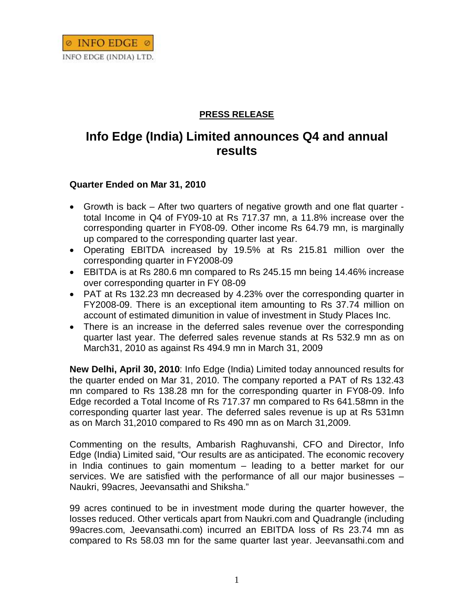

## **PRESS RELEASE**

## **Info Edge (India) Limited announces Q4 and annual results**

## **Quarter Ended on Mar 31, 2010**

- Growth is back After two quarters of negative growth and one flat quarter total Income in Q4 of FY09-10 at Rs 717.37 mn, a 11.8% increase over the corresponding quarter in FY08-09. Other income Rs 64.79 mn, is marginally up compared to the corresponding quarter last year.
- Operating EBITDA increased by 19.5% at Rs 215.81 million over the corresponding quarter in FY2008-09
- EBITDA is at Rs 280.6 mn compared to Rs 245.15 mn being 14.46% increase over corresponding quarter in FY 08-09
- PAT at Rs 132.23 mn decreased by 4.23% over the corresponding quarter in FY2008-09. There is an exceptional item amounting to Rs 37.74 million on account of estimated dimunition in value of investment in Study Places Inc.
- There is an increase in the deferred sales revenue over the corresponding quarter last year. The deferred sales revenue stands at Rs 532.9 mn as on March31, 2010 as against Rs 494.9 mn in March 31, 2009

**New Delhi, April 30, 2010**: Info Edge (India) Limited today announced results for the quarter ended on Mar 31, 2010. The company reported a PAT of Rs 132.43 mn compared to Rs 138.28 mn for the corresponding quarter in FY08-09. Info Edge recorded a Total Income of Rs 717.37 mn compared to Rs 641.58mn in the corresponding quarter last year. The deferred sales revenue is up at Rs 531mn as on March 31,2010 compared to Rs 490 mn as on March 31,2009.

Commenting on the results, Ambarish Raghuvanshi, CFO and Director, Info Edge (India) Limited said, "Our results are as anticipated. The economic recovery in India continues to gain momentum – leading to a better market for our services. We are satisfied with the performance of all our major businesses – Naukri, 99acres, Jeevansathi and Shiksha."

99 acres continued to be in investment mode during the quarter however, the losses reduced. Other verticals apart from Naukri.com and Quadrangle (including 99acres.com, Jeevansathi.com) incurred an EBITDA loss of Rs 23.74 mn as compared to Rs 58.03 mn for the same quarter last year. Jeevansathi.com and